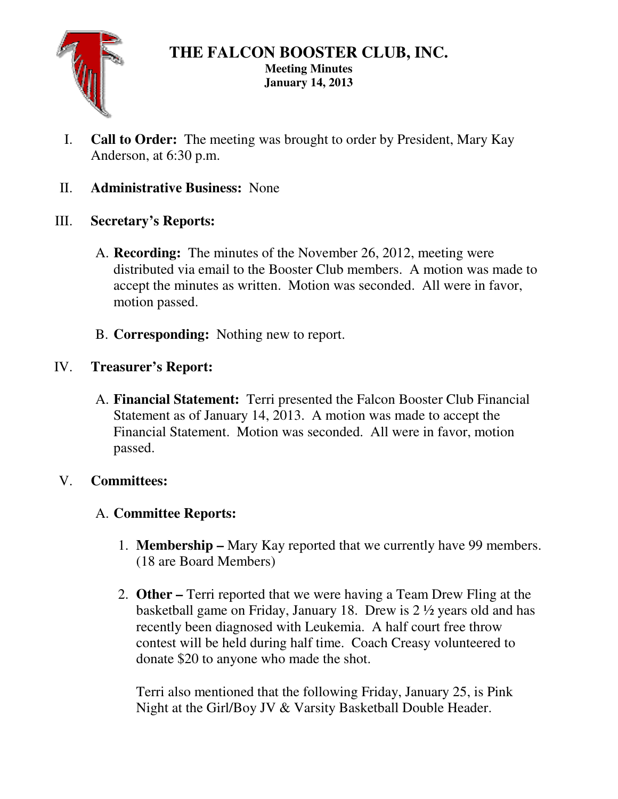

## **THE FALCON BOOSTER CLUB, INC. Meeting Minutes January 14, 2013**

- I. **Call to Order:** The meeting was brought to order by President, Mary Kay Anderson, at 6:30 p.m.
- II. **Administrative Business:** None
- III. **Secretary's Reports:** 
	- A. **Recording:** The minutes of the November 26, 2012, meeting were distributed via email to the Booster Club members. A motion was made to accept the minutes as written. Motion was seconded. All were in favor, motion passed.
	- B. **Corresponding:** Nothing new to report.
- IV. **Treasurer's Report:** 
	- A. **Financial Statement:** Terri presented the Falcon Booster Club Financial Statement as of January 14, 2013. A motion was made to accept the Financial Statement. Motion was seconded. All were in favor, motion passed.

# V. **Committees:**

# A. **Committee Reports:**

- 1. **Membership** Mary Kay reported that we currently have 99 members. (18 are Board Members)
- 2. **Other –** Terri reported that we were having a Team Drew Fling at the basketball game on Friday, January 18. Drew is 2 ½ years old and has recently been diagnosed with Leukemia. A half court free throw contest will be held during half time. Coach Creasy volunteered to donate \$20 to anyone who made the shot.

Terri also mentioned that the following Friday, January 25, is Pink Night at the Girl/Boy JV & Varsity Basketball Double Header.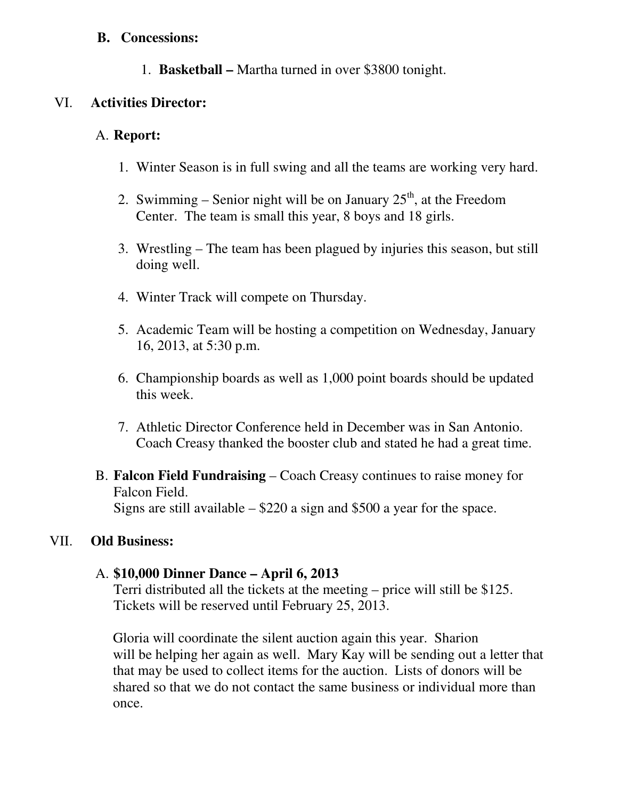#### **B. Concessions:**

1. **Basketball –** Martha turned in over \$3800 tonight.

### VI. **Activities Director:**

### A. **Report:**

- 1. Winter Season is in full swing and all the teams are working very hard.
- 2. Swimming Senior night will be on January  $25<sup>th</sup>$ , at the Freedom Center. The team is small this year, 8 boys and 18 girls.
- 3. Wrestling The team has been plagued by injuries this season, but still doing well.
- 4. Winter Track will compete on Thursday.
- 5. Academic Team will be hosting a competition on Wednesday, January 16, 2013, at 5:30 p.m.
- 6. Championship boards as well as 1,000 point boards should be updated this week.
- 7. Athletic Director Conference held in December was in San Antonio. Coach Creasy thanked the booster club and stated he had a great time.
- B. **Falcon Field Fundraising** Coach Creasy continues to raise money for Falcon Field. Signs are still available  $-$  \$220 a sign and \$500 a year for the space.

## VII. **Old Business:**

## A. **\$10,000 Dinner Dance – April 6, 2013**

Terri distributed all the tickets at the meeting – price will still be \$125. Tickets will be reserved until February 25, 2013.

 Gloria will coordinate the silent auction again this year. Sharion will be helping her again as well. Mary Kay will be sending out a letter that that may be used to collect items for the auction. Lists of donors will be shared so that we do not contact the same business or individual more than once.